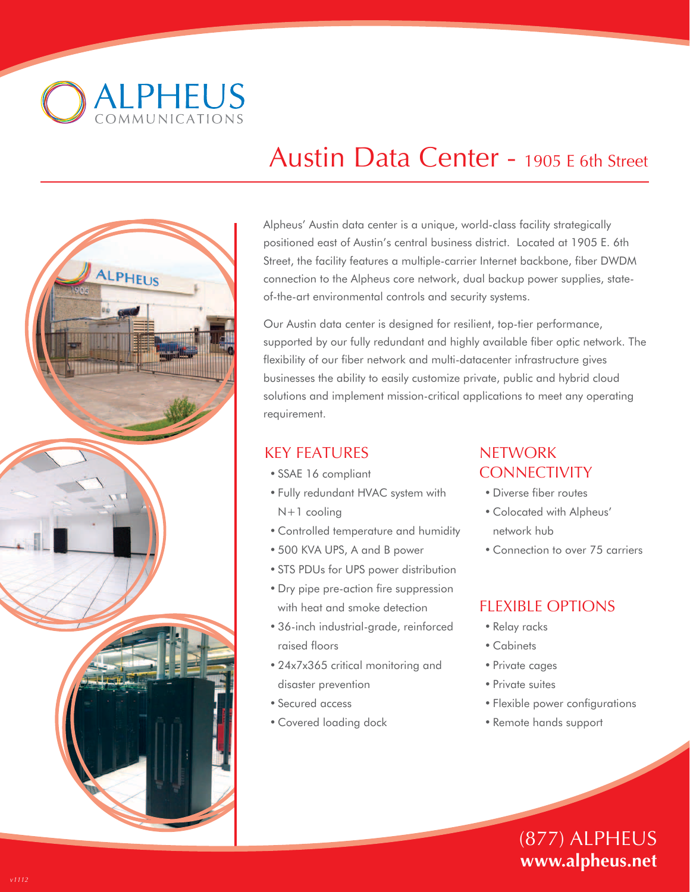**ALPHEUS** 



# Austin Data Center - 1905 E 6th Street

Alpheus' Austin data center is a unique, world-class facility strategically positioned east of Austin's central business district. Located at 1905 E. 6th Street, the facility features a multiple-carrier Internet backbone, fiber DWDM connection to the Alpheus core network, dual backup power supplies, stateof-the-art environmental controls and security systems.

Our Austin data center is designed for resilient, top-tier performance, supported by our fully redundant and highly available fiber optic network. The flexibility of our fiber network and multi-datacenter infrastructure gives businesses the ability to easily customize private, public and hybrid cloud solutions and implement mission-critical applications to meet any operating requirement.

## KEY FEATURES

- SSAE 16 compliant
- Fully redundant HVAC system with N+1 cooling
- Controlled temperature and humidity
- 500 KVA UPS, A and B power
- STS PDUs for UPS power distribution
- Dry pipe pre-action fire suppression with heat and smoke detection
- 36-inch industrial-grade, reinforced raised floors
- 24x7x365 critical monitoring and disaster prevention
- Secured access
- Covered loading dock

## **NETWORK CONNECTIVITY**

- Diverse fiber routes
- Colocated with Alpheus' network hub
- Connection to over 75 carriers

## FLEXIBLE OPTIONS

- Relay racks
- Cabinets
- Private cages
- Private suites
- Flexible power configurations
- Remote hands support

# (877) ALPHEUS **www.alpheus.net**